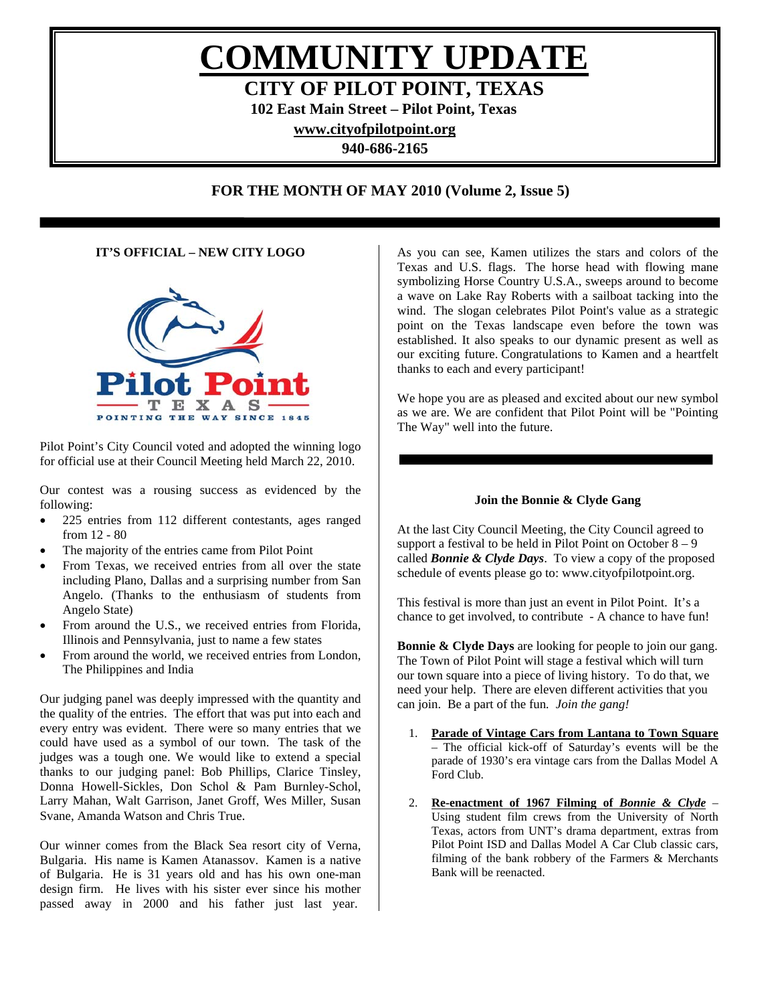# **COMMUNITY UPDATE CITY OF PILOT POINT, TEXAS**

**102 East Main Street – Pilot Point, Texas** 

**[www.cityofpilotpoint.org](http://www.cityofpilotpoint.org/)** 

**940-686-2165** 

# **FOR THE MONTH OF MAY 2010 (Volume 2, Issue 5)**

# **IT'S OFFICIAL – NEW CITY LOGO**

I



Pilot Point's City Council voted and adopted the winning logo for official use at their Council Meeting held March 22, 2010.

Our contest was a rousing success as evidenced by the following:

- 225 entries from 112 different contestants, ages ranged from 12 - 80
- The majority of the entries came from Pilot Point
- From Texas, we received entries from all over the state including Plano, Dallas and a surprising number from San Angelo. (Thanks to the enthusiasm of students from Angelo State)
- From around the U.S., we received entries from Florida, Illinois and Pennsylvania, just to name a few states
- From around the world, we received entries from London, The Philippines and India

Our judging panel was deeply impressed with the quantity and the quality of the entries. The effort that was put into each and every entry was evident. There were so many entries that we could have used as a symbol of our town. The task of the judges was a tough one. We would like to extend a special thanks to our judging panel: Bob Phillips, Clarice Tinsley, Donna Howell-Sickles, Don Schol & Pam Burnley-Schol, Larry Mahan, Walt Garrison, Janet Groff, Wes Miller, Susan Svane, Amanda Watson and Chris True.

Our winner comes from the Black Sea resort city of Verna, Bulgaria. His name is Kamen Atanassov. Kamen is a native of Bulgaria. He is 31 years old and has his own one-man design firm. He lives with his sister ever since his mother passed away in 2000 and his father just last year.

As you can see, Kamen utilizes the stars and colors of the Texas and U.S. flags. The horse head with flowing mane symbolizing Horse Country U.S.A., sweeps around to become a wave on Lake Ray Roberts with a sailboat tacking into the wind. The slogan celebrates Pilot Point's value as a strategic point on the Texas landscape even before the town was established. It also speaks to our dynamic present as well as our exciting future. Congratulations to Kamen and a heartfelt thanks to each and every participant!

We hope you are as pleased and excited about our new symbol as we are. We are confident that Pilot Point will be "Pointing The Way" well into the future.

#### **Join the Bonnie & Clyde Gang**

At the last City Council Meeting, the City Council agreed to support a festival to be held in Pilot Point on October  $8 - 9$ called *Bonnie & Clyde Days*. To view a copy of the proposed schedule of events please go to: www.cityofpilotpoint.org.

This festival is more than just an event in Pilot Point. It's a chance to get involved, to contribute - A chance to have fun!

**Bonnie & Clyde Days** are looking for people to join our gang. The Town of Pilot Point will stage a festival which will turn our town square into a piece of living history. To do that, we need your help. There are eleven different activities that you can join. Be a part of the fun*. Join the gang!*

- 1. **Parade of Vintage Cars from Lantana to Town Square** – The official kick-off of Saturday's events will be the parade of 1930's era vintage cars from the Dallas Model A Ford Club.
- 2. **Re-enactment of 1967 Filming of** *Bonnie & Clyde* Using student film crews from the University of North Texas, actors from UNT's drama department, extras from Pilot Point ISD and Dallas Model A Car Club classic cars, filming of the bank robbery of the Farmers & Merchants Bank will be reenacted.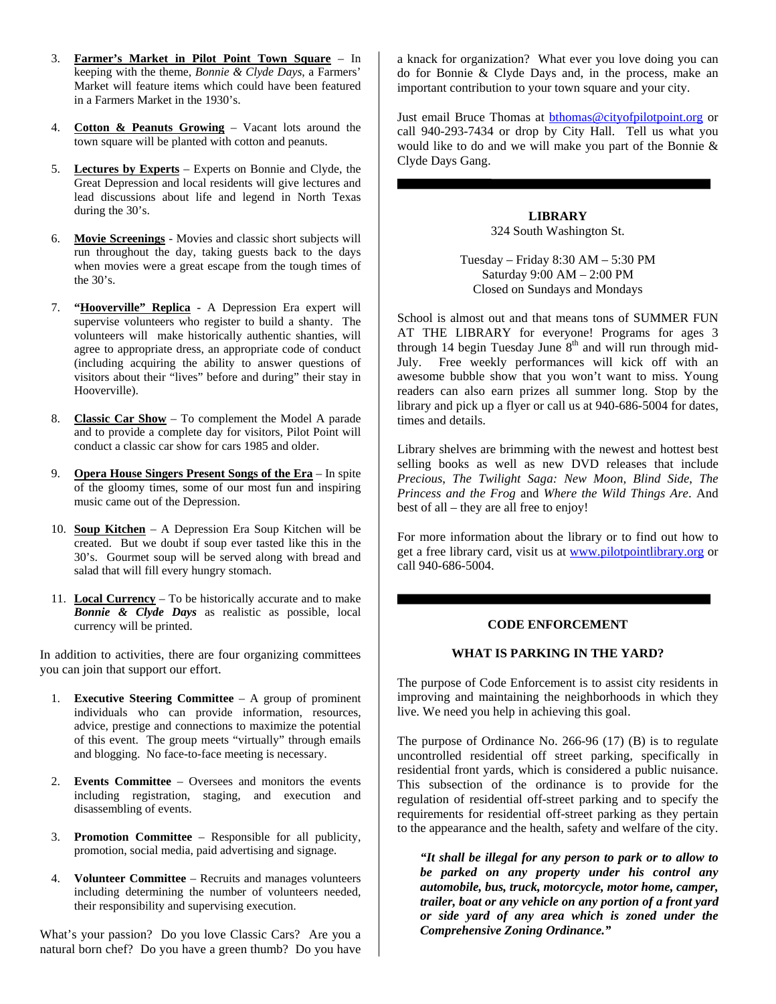- 3. **Farmer's Market in Pilot Point Town Square** In keeping with the theme, *Bonnie & Clyde Days*, a Farmers' Market will feature items which could have been featured in a Farmers Market in the 1930's.
- 4. **Cotton & Peanuts Growing** Vacant lots around the town square will be planted with cotton and peanuts.
- 5. **Lectures by Experts** Experts on Bonnie and Clyde, the Great Depression and local residents will give lectures and lead discussions about life and legend in North Texas during the 30's.
- 6. **Movie Screenings** Movies and classic short subjects will run throughout the day, taking guests back to the days when movies were a great escape from the tough times of the 30's.
- 7. **"Hooverville" Replica** A Depression Era expert will supervise volunteers who register to build a shanty. The volunteers will make historically authentic shanties, will agree to appropriate dress, an appropriate code of conduct (including acquiring the ability to answer questions of visitors about their "lives" before and during" their stay in Hooverville).
- 8. **Classic Car Show** To complement the Model A parade and to provide a complete day for visitors, Pilot Point will conduct a classic car show for cars 1985 and older.
- 9. **Opera House Singers Present Songs of the Era** In spite of the gloomy times, some of our most fun and inspiring music came out of the Depression.
- 10. **Soup Kitchen** A Depression Era Soup Kitchen will be created. But we doubt if soup ever tasted like this in the 30's. Gourmet soup will be served along with bread and salad that will fill every hungry stomach.
- 11. **Local Currency** To be historically accurate and to make *Bonnie & Clyde Days* as realistic as possible, local currency will be printed.

In addition to activities, there are four organizing committees you can join that support our effort.

- 1. **Executive Steering Committee** A group of prominent individuals who can provide information, resources, advice, prestige and connections to maximize the potential of this event. The group meets "virtually" through emails and blogging. No face-to-face meeting is necessary.
- 2. **Events Committee** Oversees and monitors the events including registration, staging, and execution and disassembling of events.
- 3. **Promotion Committee** Responsible for all publicity, promotion, social media, paid advertising and signage.
- 4. **Volunteer Committee** Recruits and manages volunteers including determining the number of volunteers needed, their responsibility and supervising execution.

What's your passion? Do you love Classic Cars? Are you a natural born chef? Do you have a green thumb? Do you have

a knack for organization? What ever you love doing you can do for Bonnie & Clyde Days and, in the process, make an important contribution to your town square and your city.

Just email Bruce Thomas at **bthomas@cityofpilotpoint.org** or call 940-293-7434 or drop by City Hall. Tell us what you would like to do and we will make you part of the Bonnie & Clyde Days Gang.

2010

**LIBRARY**  324 South Washington St.

Tuesday – Friday 8:30 AM – 5:30 PM Saturday 9:00 AM – 2:00 PM Closed on Sundays and Mondays

School is almost out and that means tons of SUMMER FUN AT THE LIBRARY for everyone! Programs for ages 3 through 14 begin Tuesday June  $8<sup>th</sup>$  and will run through mid-July. Free weekly performances will kick off with an awesome bubble show that you won't want to miss. Young readers can also earn prizes all summer long. Stop by the library and pick up a flyer or call us at 940-686-5004 for dates, times and details.

Library shelves are brimming with the newest and hottest best selling books as well as new DVD releases that include *Precious*, *The Twilight Saga: New Moon, Blind Side*, *The Princess and the Frog* and *Where the Wild Things Are*. And best of all – they are all free to enjoy!

For more information about the library or to find out how to get a free library card, visit us at [www.pilotpointlibrary.org](http://www.pilotpointlibrary.org/) or call 940-686-5004.

#### **CODE ENFORCEMENT**

#### **WHAT IS PARKING IN THE YARD?**

The purpose of Code Enforcement is to assist city residents in improving and maintaining the neighborhoods in which they live. We need you help in achieving this goal.

The purpose of Ordinance No. 266-96 (17) (B) is to regulate uncontrolled residential off street parking, specifically in residential front yards, which is considered a public nuisance. This subsection of the ordinance is to provide for the regulation of residential off-street parking and to specify the requirements for residential off-street parking as they pertain to the appearance and the health, safety and welfare of the city.

*"It shall be illegal for any person to park or to allow to be parked on any property under his control any automobile, bus, truck, motorcycle, motor home, camper, trailer, boat or any vehicle on any portion of a front yard or side yard of any area which is zoned under the Comprehensive Zoning Ordinance."*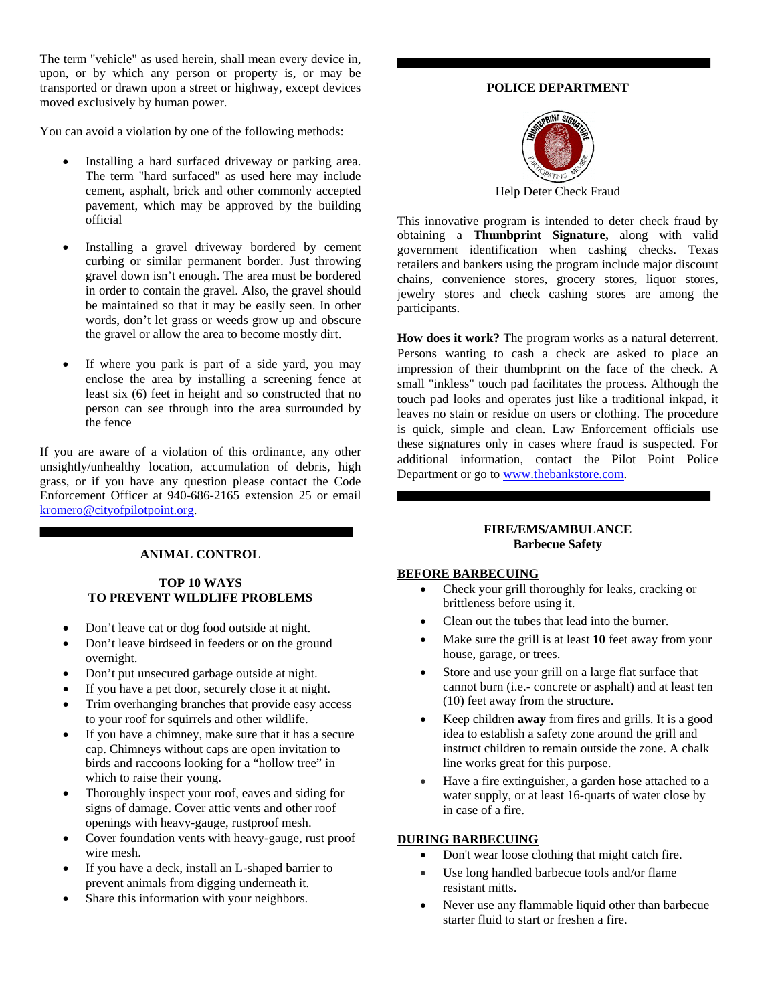The term "vehicle" as used herein, shall mean every device in, upon, or by which any person or property is, or may be transported or drawn upon a street or highway, except devices moved exclusively by human power.

You can avoid a violation by one of the following methods:

- Installing a hard surfaced driveway or parking area. The term "hard surfaced" as used here may include cement, asphalt, brick and other commonly accepted pavement, which may be approved by the building official
- Installing a gravel driveway bordered by cement curbing or similar permanent border. Just throwing gravel down isn't enough. The area must be bordered in order to contain the gravel. Also, the gravel should be maintained so that it may be easily seen. In other words, don't let grass or weeds grow up and obscure the gravel or allow the area to become mostly dirt.
- If where you park is part of a side yard, you may enclose the area by installing a screening fence at least six (6) feet in height and so constructed that no person can see through into the area surrounded by the fence

If you are aware of a violation of this ordinance, any other unsightly/unhealthy location, accumulation of debris, high grass, or if you have any question please contact the Code Enforcement Officer at 940-686-2165 extension 25 or email [kromero@cityofpilotpoint.org](mailto:kromero@cityofpilotpoint.org).

#### **ANIMAL CONTROL**

### **TOP 10 WAYS TO PREVENT WILDLIFE PROBLEMS**

- Don't leave cat or dog food outside at night.
- Don't leave birdseed in feeders or on the ground overnight.
- Don't put unsecured garbage outside at night.
- If you have a pet door, securely close it at night.
- Trim overhanging branches that provide easy access to your roof for squirrels and other wildlife.
- If you have a chimney, make sure that it has a secure cap. Chimneys without caps are open invitation to birds and raccoons looking for a "hollow tree" in which to raise their young.
- Thoroughly inspect your roof, eaves and siding for signs of damage. Cover attic vents and other roof openings with heavy-gauge, rustproof mesh.
- Cover foundation vents with heavy-gauge, rust proof wire mesh.
- If you have a deck, install an L-shaped barrier to prevent animals from digging underneath it.
- Share this information with your neighbors.

# **POLICE DEPARTMENT**



Help Deter Check Fraud

This innovative program is intended to deter check fraud by obtaining a **Thumbprint Signature,** along with valid government identification when cashing checks. Texas retailers and bankers using the program include major discount chains, convenience stores, grocery stores, liquor stores, jewelry stores and check cashing stores are among the participants.

**How does it work?** The program works as a natural deterrent. Persons wanting to cash a check are asked to place an impression of their thumbprint on the face of the check. A small "inkless" touch pad facilitates the process. Although the touch pad looks and operates just like a traditional inkpad, it leaves no stain or residue on users or clothing. The procedure is quick, simple and clean. Law Enforcement officials use these signatures only in cases where fraud is suspected. For additional information, contact the Pilot Point Police Department or go to [www.thebankstore.com.](http://www.thebankstore.com/)

#### **FIRE/EMS/AMBULANCE Barbecue Safety**

#### **BEFORE BARBECUING**

- Check your grill thoroughly for leaks, cracking or brittleness before using it.
- Clean out the tubes that lead into the burner.
- Make sure the grill is at least 10 feet away from your house, garage, or trees.
- Store and use your grill on a large flat surface that cannot burn (i.e.- concrete or asphalt) and at least ten (10) feet away from the structure.
- Keep children **away** from fires and grills. It is a good idea to establish a safety zone around the grill and instruct children to remain outside the zone. A chalk line works great for this purpose.
- Have a fire extinguisher, a garden hose attached to a water supply, or at least 16-quarts of water close by in case of a fire.

# **DURING BARBECUING**

- Don't wear loose clothing that might catch fire.
- Use long handled barbecue tools and/or flame resistant mitts.
- Never use any flammable liquid other than barbecue starter fluid to start or freshen a fire.